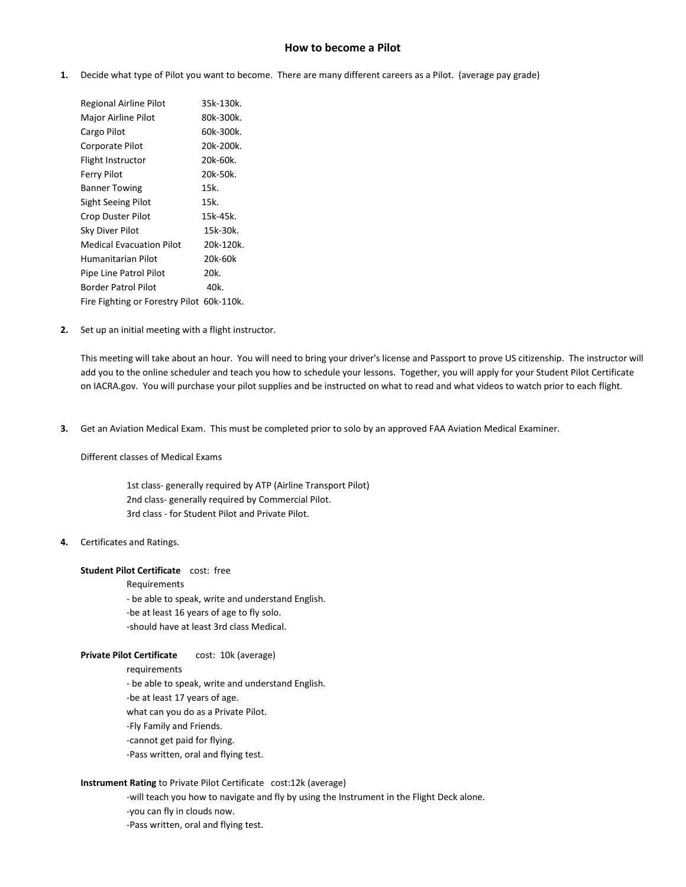# **How to become a Pilot**

**1.** Decide what type of Pilot you want to become. There are many different careers as a Pilot. (average pay grade)

| Regional Airline Pilot                    | 35k-130k. |
|-------------------------------------------|-----------|
| Major Airline Pilot                       | 80k-300k. |
| Cargo Pilot                               | 60k-300k. |
| Corporate Pilot                           | 20k-200k. |
| Flight Instructor                         | 20k-60k.  |
| Ferry Pilot                               | 20k-50k.  |
| <b>Banner Towing</b>                      | 15k.      |
| Sight Seeing Pilot                        | 15k.      |
| Crop Duster Pilot                         | 15k-45k.  |
| Sky Diver Pilot                           | 15k-30k.  |
| <b>Medical Evacuation Pilot</b>           | 20k-120k. |
| Humanitarian Pilot                        | 20k-60k   |
| Pipe Line Patrol Pilot                    | 20k.      |
| Border Patrol Pilot                       | 40k.      |
| Fire Fighting or Forestry Pilot 60k-110k. |           |

**2.** Set up an initial meeting with a flight instructor.

This meeting will take about an hour. You will need to bring your driver's license and Passport to prove US citizenship. The instructor will add you to the online scheduler and teach you how to schedule your lessons. Together, you will apply for your Student Pilot Certificate on IACRA.gov. You will purchase your pilot supplies and be instructed on what to read and what videos to watch prior to each flight.

**3.** Get an Aviation Medical Exam. This must be completed prior to solo by an approved FAA Aviation Medical Examiner.

Different classes of Medical Exams

1st class- generally required by ATP (Airline Transport Pilot) 2nd class- generally required by Commercial Pilot. 3rd class - for Student Pilot and Private Pilot.

# **4.** Certificates and Ratings.

#### **Student Pilot Certificate** cost: free

Requirements

- be able to speak, write and understand English.
- -be at least 16 years of age to fly solo.
- -should have at least 3rd class Medical.

## **Private Pilot Certificate** cost: 10k (average)

requirements

- be able to speak, write and understand English.

- -be at least 17 years of age.
- what can you do as a Private Pilot.
- -Fly Family and Friends.
- -cannot get paid for flying.
- -Pass written, oral and flying test.

## **Instrument Rating** to Private Pilot Certificate cost:12k (average)

- -will teach you how to navigate and fly by using the Instrument in the Flight Deck alone.
- -you can fly in clouds now.
- -Pass written, oral and flying test.